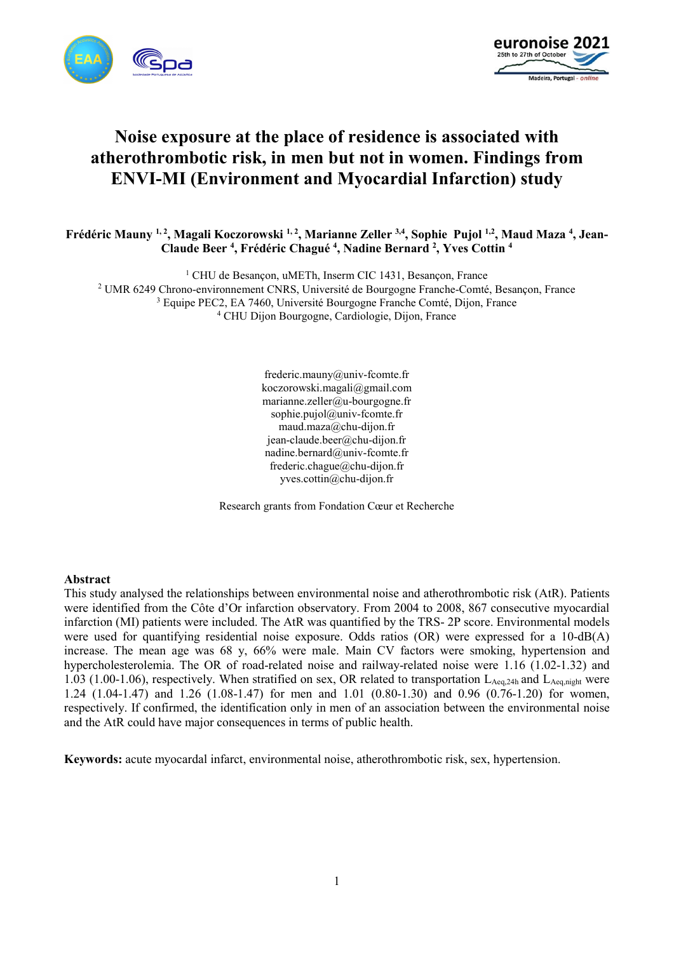



# **Noise exposure at the place of residence is associated with atherothrombotic risk, in men but not in women. Findings from ENVI-MI (Environment and Myocardial Infarction) study**

**Frédéric Mauny 1, 2, Magali Koczorowski 1, 2, Marianne Zeller 3,4, Sophie Pujol 1,2, Maud Maza <sup>4</sup> , Jean-Claude Beer <sup>4</sup> , Frédéric Chagué <sup>4</sup> , Nadine Bernard <sup>2</sup> , Yves Cottin <sup>4</sup>** 

 CHU de Besançon, uMETh, Inserm CIC 1431, Besançon, France UMR 6249 Chrono-environnement CNRS, Université de Bourgogne Franche-Comté, Besançon, France Equipe PEC2, EA 7460, Université Bourgogne Franche Comté, Dijon, France CHU Dijon Bourgogne, Cardiologie, Dijon, France

> frederic.mauny@univ-fcomte.fr koczorowski.magali@gmail.com marianne.zeller@u-bourgogne.fr sophie.pujol@univ-fcomte.fr maud.maza@chu-dijon.fr jean-claude.beer@chu-dijon.fr nadine.bernard@univ-fcomte.fr frederic.chague@chu-dijon.fr yves.cottin@chu-dijon.fr

Research grants from Fondation Cœur et Recherche

#### **Abstract**

This study analysed the relationships between environmental noise and atherothrombotic risk (AtR). Patients were identified from the Côte d'Or infarction observatory. From 2004 to 2008, 867 consecutive myocardial infarction (MI) patients were included. The AtR was quantified by the TRS- 2P score. Environmental models were used for quantifying residential noise exposure. Odds ratios (OR) were expressed for a 10-dB(A) increase. The mean age was 68 y, 66% were male. Main CV factors were smoking, hypertension and hypercholesterolemia. The OR of road-related noise and railway-related noise were 1.16 (1.02-1.32) and 1.03 (1.00-1.06), respectively. When stratified on sex, OR related to transportation  $L_{Aeq,24h}$  and  $L_{Aeq,night}$  were 1.24 (1.04-1.47) and 1.26 (1.08-1.47) for men and 1.01 (0.80-1.30) and 0.96 (0.76-1.20) for women, respectively. If confirmed, the identification only in men of an association between the environmental noise and the AtR could have major consequences in terms of public health.

**Keywords:** acute myocardal infarct, environmental noise, atherothrombotic risk, sex, hypertension.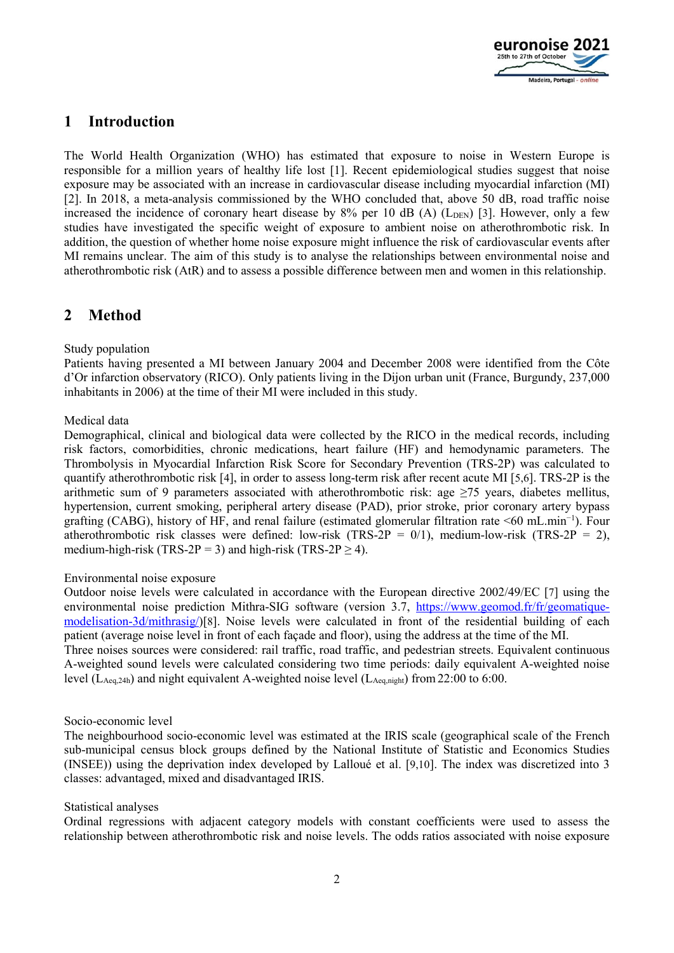

## **1 Introduction**

The World Health Organization (WHO) has estimated that exposure to noise in Western Europe is responsible for a million years of healthy life lost [1]. Recent epidemiological studies suggest that noise exposure may be associated with an increase in cardiovascular disease including myocardial infarction (MI) [2]. In 2018, a meta-analysis commissioned by the WHO concluded that, above 50 dB, road traffic noise increased the incidence of coronary heart disease by  $8\%$  per 10 dB (A) ( $L_{\text{DEN}}$ ) [3]. However, only a few studies have investigated the specific weight of exposure to ambient noise on atherothrombotic risk. In addition, the question of whether home noise exposure might influence the risk of cardiovascular events after MI remains unclear. The aim of this study is to analyse the relationships between environmental noise and atherothrombotic risk (AtR) and to assess a possible difference between men and women in this relationship.

### **2 Method**

### Study population

Patients having presented a MI between January 2004 and December 2008 were identified from the Côte d'Or infarction observatory (RICO). Only patients living in the Dijon urban unit (France, Burgundy, 237,000 inhabitants in 2006) at the time of their MI were included in this study.

### Medical data

Demographical, clinical and biological data were collected by the RICO in the medical records, including risk factors, comorbidities, chronic medications, heart failure (HF) and hemodynamic parameters. The Thrombolysis in Myocardial Infarction Risk Score for Secondary Prevention (TRS-2P) was calculated to quantify atherothrombotic risk [4], in order to assess long-term risk after recent acute MI [5,6]. TRS-2P is the arithmetic sum of 9 parameters associated with atherothrombotic risk: age ≥75 years, diabetes mellitus, hypertension, current smoking, peripheral artery disease (PAD), prior stroke, prior coronary artery bypass grafting (CABG), history of HF, and renal failure (estimated glomerular filtration rate <60 mL.min−1). Four atherothrombotic risk classes were defined: low-risk (TRS-2P = 0/1), medium-low-risk (TRS-2P = 2), medium-high-risk (TRS-2P = 3) and high-risk (TRS-2P  $\geq$  4).

### Environmental noise exposure

Outdoor noise levels were calculated in accordance with the European directive 2002/49/EC [7] using the environmental noise prediction Mithra-SIG software (version 3.7, https://www.geomod.fr/fr/geomatiquemodelisation-3d/mithrasig/)[8]. Noise levels were calculated in front of the residential building of each patient (average noise level in front of each façade and floor), using the address at the time of the MI. Three noises sources were considered: rail traffic, road traffic, and pedestrian streets. Equivalent continuous A-weighted sound levels were calculated considering two time periods: daily equivalent A-weighted noise level ( $L_{Aeq,24h}$ ) and night equivalent A-weighted noise level ( $L_{Aeq,night}$ ) from 22:00 to 6:00.

### Socio-economic level

The neighbourhood socio-economic level was estimated at the IRIS scale (geographical scale of the French sub-municipal census block groups defined by the National Institute of Statistic and Economics Studies (INSEE)) using the deprivation index developed by Lalloué et al. [9,10]. The index was discretized into 3 classes: advantaged, mixed and disadvantaged IRIS.

### Statistical analyses

Ordinal regressions with adjacent category models with constant coefficients were used to assess the relationship between atherothrombotic risk and noise levels. The odds ratios associated with noise exposure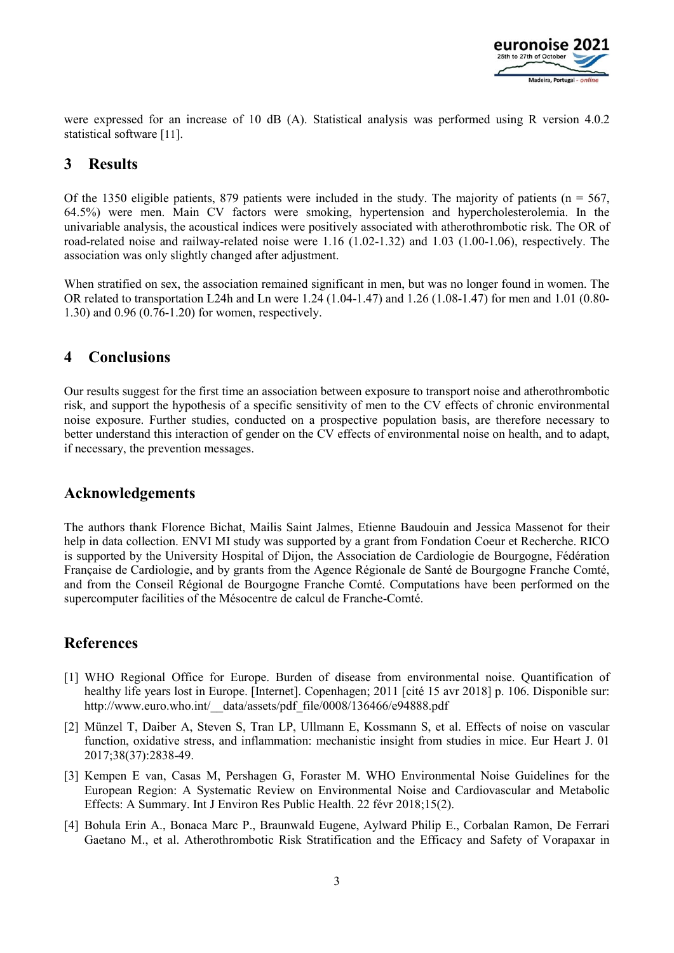

were expressed for an increase of 10 dB (A). Statistical analysis was performed using R version 4.0.2 statistical software [11].

### **3 Results**

Of the 1350 eligible patients, 879 patients were included in the study. The majority of patients ( $n = 567$ , 64.5%) were men. Main CV factors were smoking, hypertension and hypercholesterolemia. In the univariable analysis, the acoustical indices were positively associated with atherothrombotic risk. The OR of road-related noise and railway-related noise were 1.16 (1.02-1.32) and 1.03 (1.00-1.06), respectively. The association was only slightly changed after adjustment.

When stratified on sex, the association remained significant in men, but was no longer found in women. The OR related to transportation L24h and Ln were 1.24 (1.04-1.47) and 1.26 (1.08-1.47) for men and 1.01 (0.80- 1.30) and 0.96 (0.76-1.20) for women, respectively.

### **4 Conclusions**

Our results suggest for the first time an association between exposure to transport noise and atherothrombotic risk, and support the hypothesis of a specific sensitivity of men to the CV effects of chronic environmental noise exposure. Further studies, conducted on a prospective population basis, are therefore necessary to better understand this interaction of gender on the CV effects of environmental noise on health, and to adapt, if necessary, the prevention messages.

### **Acknowledgements**

The authors thank Florence Bichat, Mailis Saint Jalmes, Etienne Baudouin and Jessica Massenot for their help in data collection. ENVI MI study was supported by a grant from Fondation Coeur et Recherche. RICO is supported by the University Hospital of Dijon, the Association de Cardiologie de Bourgogne, Fédération Française de Cardiologie, and by grants from the Agence Régionale de Santé de Bourgogne Franche Comté, and from the Conseil Régional de Bourgogne Franche Comté. Computations have been performed on the supercomputer facilities of the Mésocentre de calcul de Franche-Comté.

## **References**

- [1] WHO Regional Office for Europe. Burden of disease from environmental noise. Quantification of healthy life years lost in Europe. [Internet]. Copenhagen; 2011 [cité 15 avr 2018] p. 106. Disponible sur: http://www.euro.who.int/ data/assets/pdf file/0008/136466/e94888.pdf
- [2] Münzel T, Daiber A, Steven S, Tran LP, Ullmann E, Kossmann S, et al. Effects of noise on vascular function, oxidative stress, and inflammation: mechanistic insight from studies in mice. Eur Heart J. 01 2017;38(37):2838-49.
- [3] Kempen E van, Casas M, Pershagen G, Foraster M. WHO Environmental Noise Guidelines for the European Region: A Systematic Review on Environmental Noise and Cardiovascular and Metabolic Effects: A Summary. Int J Environ Res Public Health. 22 févr 2018;15(2).
- [4] Bohula Erin A., Bonaca Marc P., Braunwald Eugene, Aylward Philip E., Corbalan Ramon, De Ferrari Gaetano M., et al. Atherothrombotic Risk Stratification and the Efficacy and Safety of Vorapaxar in